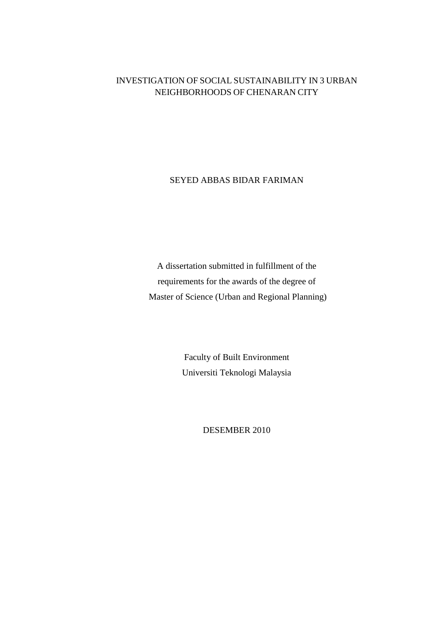## INVESTIGATION OF SOCIAL SUSTAINABILITY IN 3 URBAN NEIGHBORHOODS OF CHENARAN CITY

SEYED ABBAS BIDAR FARIMAN

A dissertation submitted in fulfillment of the requirements for the awards of the degree of Master of Science (Urban and Regional Planning)

> Faculty of Built Environment Universiti Teknologi Malaysia

> > DESEMBER 2010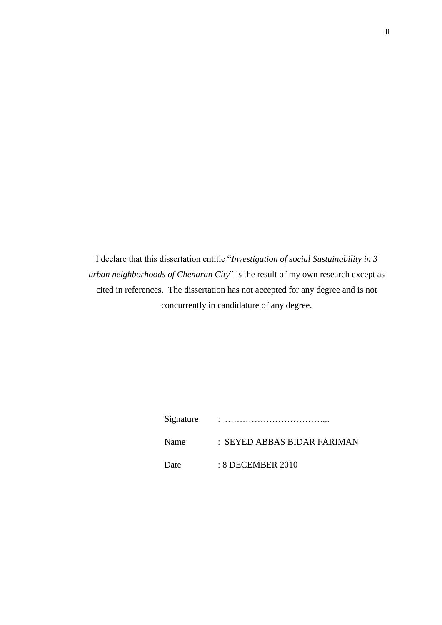I declare that this dissertation entitle "*Investigation of social Sustainability in 3 urban neighborhoods of Chenaran City*" is the result of my own research except as cited in references. The dissertation has not accepted for any degree and is not concurrently in candidature of any degree.

| Signature |                             |
|-----------|-----------------------------|
| Name      | : SEYED ABBAS BIDAR FARIMAN |
| Date      | $: 8$ DECEMBER 2010         |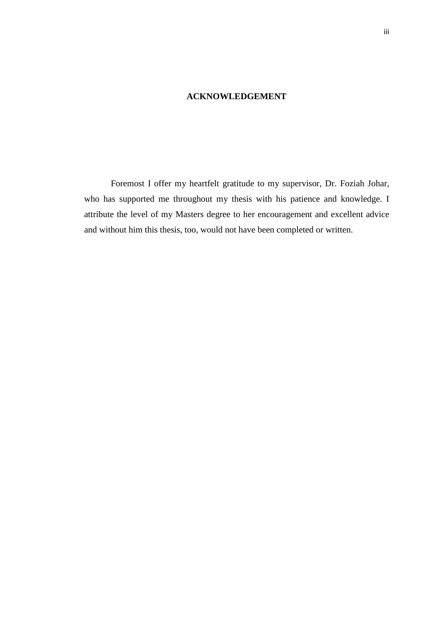## **ACKNOWLEDGEMENT**

Foremost I offer my heartfelt gratitude to my supervisor, Dr. Foziah Johar, who has supported me throughout my thesis with his patience and knowledge. I attribute the level of my Masters degree to her encouragement and excellent advice and without him this thesis, too, would not have been completed or written.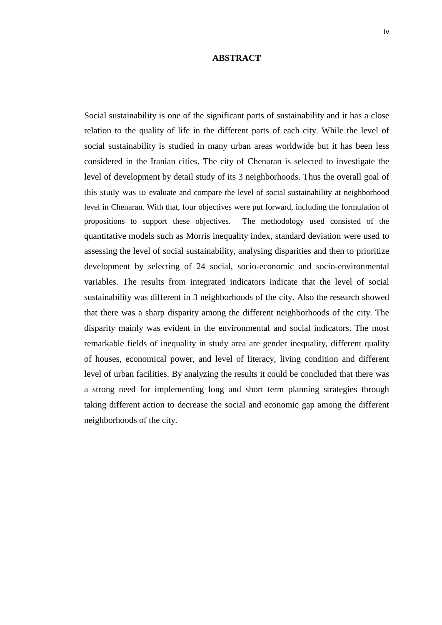## **ABSTRACT**

Social sustainability is one of the significant parts of sustainability and it has a close relation to the quality of life in the different parts of each city. While the level of social sustainability is studied in many urban areas worldwide but it has been less considered in the Iranian cities. The city of Chenaran is selected to investigate the level of development by detail study of its 3 neighborhoods. Thus the overall goal of this study was to evaluate and compare the level of social sustainability at neighborhood level in Chenaran. With that, four objectives were put forward, including the formulation of propositions to support these objectives. The methodology used consisted of the quantitative models such as Morris inequality index, standard deviation were used to assessing the level of social sustainability, analysing disparities and then to prioritize development by selecting of 24 social, socio-economic and socio-environmental variables. The results from integrated indicators indicate that the level of social sustainability was different in 3 neighborhoods of the city. Also the research showed that there was a sharp disparity among the different neighborhoods of the city. The disparity mainly was evident in the environmental and social indicators. The most remarkable fields of inequality in study area are gender inequality, different quality of houses, economical power, and level of literacy, living condition and different level of urban facilities. By analyzing the results it could be concluded that there was a strong need for implementing long and short term planning strategies through taking different action to decrease the social and economic gap among the different neighborhoods of the city.